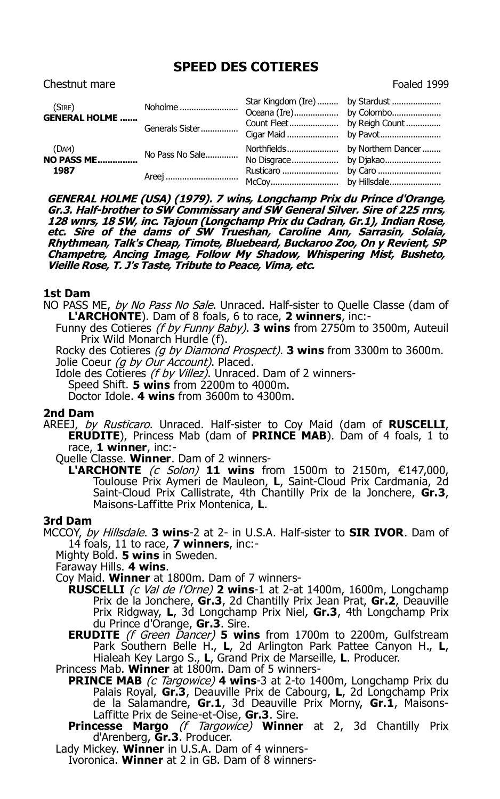# **SPEED DES COTIERES**

| (SIRE)<br><b>GENERAL HOLME </b>        | Noholme         | Star Kingdom (Ire)  by Stardust |  |
|----------------------------------------|-----------------|---------------------------------|--|
|                                        | Generals Sister |                                 |  |
| (DAM)<br>$(OAT)$<br>NO PASS ME<br>1987 | No Pass No Sale |                                 |  |
|                                        | Areej           |                                 |  |

**GENERAL HOLME (USA) (1979). 7 wins, Longchamp Prix du Prince d'Orange, Gr.3. Half-brother to SW Commissary and SW General Silver. Sire of 225 rnrs, 128 wnrs, 18 SW, inc. Tajoun (Longchamp Prix du Cadran, Gr.1), Indian Rose, etc. Sire of the dams of SW Trueshan, Caroline Ann, Sarrasin, Solaia, Rhythmean, Talk's Cheap, Timote, Bluebeard, Buckaroo Zoo, On y Revient, SP Champetre, Ancing Image, Follow My Shadow, Whispering Mist, Busheto, Vieille Rose, T. J's Taste, Tribute to Peace, Vima, etc.**

# **1st Dam**

- NO PASS ME, by No Pass No Sale. Unraced. Half-sister to Quelle Classe (dam of **L'ARCHONTE**). Dam of 8 foals, 6 to race, **2 winners**, inc:-
	- Funny des Cotieres (f by Funny Baby). **3 wins** from 2750m to 3500m, Auteuil Prix Wild Monarch Hurdle (f).

Rocky des Cotieres (g by Diamond Prospect). **3 wins** from 3300m to 3600m. Jolie Coeur (q by Our Account). Placed.

Idole des Cotieres (f by Villez). Unraced. Dam of 2 winners-Speed Shift. **5 wins** from 2200m to 4000m.

Doctor Idole. **4 wins** from 3600m to 4300m.

### **2nd Dam**

AREEJ, by Rusticaro. Unraced. Half-sister to Coy Maid (dam of **RUSCELLI**, **ERUDITE**), Princess Mab (dam of **PRINCE MAB**). Dam of 4 foals, 1 to race, **1 winner**, inc:-

Quelle Classe. **Winner**. Dam of 2 winners-

**L'ARCHONTE** (c Solon) **11 wins** from 1500m to 2150m, €147,000, Toulouse Prix Aymeri de Mauleon, **L**, Saint-Cloud Prix Cardmania, 2d Saint-Cloud Prix Callistrate, 4th Chantilly Prix de la Jonchere, **Gr.3**, Maisons-Laffitte Prix Montenica, **L**.

#### **3rd Dam**

MCCOY, by Hillsdale. **3 wins**-2 at 2- in U.S.A. Half-sister to **SIR IVOR**. Dam of 14 foals, 11 to race, **7 winners**, inc:-

Mighty Bold. **5 wins** in Sweden.

Faraway Hills. **4 wins**.

- Coy Maid. **Winner** at 1800m. Dam of 7 winners-
	- **RUSCELLI** (c Val de l'Orne) **2 wins**-1 at 2-at 1400m, 1600m, Longchamp Prix de la Jonchere, **Gr.3**, 2d Chantilly Prix Jean Prat, **Gr.2**, Deauville Prix Ridgway, **L**, 3d Longchamp Prix Niel, **Gr.3**, 4th Longchamp Prix du Prince d'Orange, **Gr.3**. Sire.
	- **ERUDITE** (f Green Dancer) 5 wins from 1700m to 2200m, Gulfstream Park Southern Belle H., L, 2d Arlington Park Pattee Canyon H., L, Hialeah Key Largo S., **L**, Grand Prix de Marseille, **L**. Producer.

Princess Mab. **Winner** at 1800m. Dam of 5 winners-

- **PRINCE MAB** (c Targowice) 4 wins-3 at 2-to 1400m, Longchamp Prix du Palais Royal, **Gr.3**, Deauville Prix de Cabourg, **L**, 2d Longchamp Prix de la Salamandre, **Gr.1**, 3d Deauville Prix Morny, **Gr.1**, Maisons-Laffitte Prix de Seine-et-Oise, **Gr.3**. Sire.
- **Princesse Margo** (f Targowice) **Winner** at 2, 3d Chantilly Prix d'Arenberg, **Gr.3**. Producer.
- Lady Mickey. **Winner** in U.S.A. Dam of 4 winners-

Ivoronica. **Winner** at 2 in GB. Dam of 8 winners-

Chestnut mare **Foaled 1999**